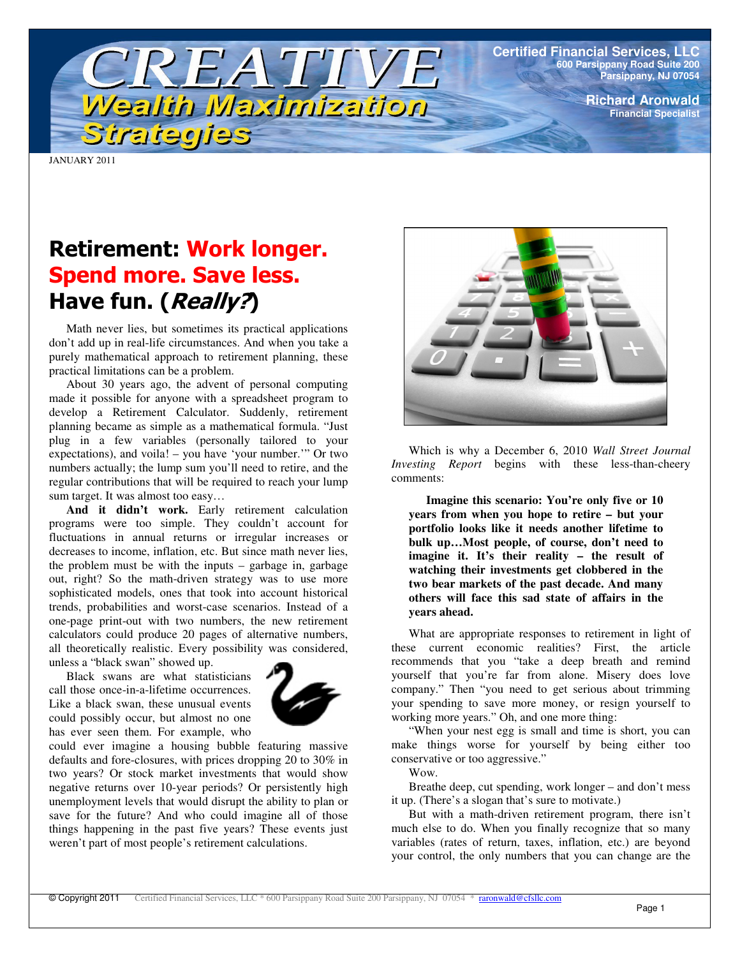**Certified Financial Services, LLC 600 Parsippany Road Suite 200 Parsippany, NJ 07054**

> **Richard Aronwald Financial Specialist**

JANUARY 2011

# Retirement: Work longer. **Spend more. Save less.** Have fun. (*Really?*)

Strategies

TREATIV

Wealth Maximization

Math never lies, but sometimes its practical applications don't add up in real-life circumstances. And when you take a purely mathematical approach to retirement planning, these practical limitations can be a problem.

About 30 years ago, the advent of personal computing made it possible for anyone with a spreadsheet program to develop a Retirement Calculator. Suddenly, retirement planning became as simple as a mathematical formula. "Just plug in a few variables (personally tailored to your expectations), and voila! – you have 'your number.'" Or two numbers actually; the lump sum you'll need to retire, and the regular contributions that will be required to reach your lump sum target. It was almost too easy…

**And it didn't work.** Early retirement calculation programs were too simple. They couldn't account for fluctuations in annual returns or irregular increases or decreases to income, inflation, etc. But since math never lies, the problem must be with the inputs – garbage in, garbage out, right? So the math-driven strategy was to use more sophisticated models, ones that took into account historical trends, probabilities and worst-case scenarios. Instead of a one-page print-out with two numbers, the new retirement calculators could produce 20 pages of alternative numbers, all theoretically realistic. Every possibility was considered, unless a "black swan" showed up.

Black swans are what statisticians call those once-in-a-lifetime occurrences. Like a black swan, these unusual events could possibly occur, but almost no one has ever seen them. For example, who



could ever imagine a housing bubble featuring massive defaults and fore-closures, with prices dropping 20 to 30% in two years? Or stock market investments that would show negative returns over 10-year periods? Or persistently high unemployment levels that would disrupt the ability to plan or save for the future? And who could imagine all of those things happening in the past five years? These events just weren't part of most people's retirement calculations.



Which is why a December 6, 2010 *Wall Street Journal Investing Report* begins with these less-than-cheery comments:

**Imagine this scenario: You're only five or 10 years from when you hope to retire – but your portfolio looks like it needs another lifetime to bulk up…Most people, of course, don't need to imagine it. It's their reality – the result of watching their investments get clobbered in the two bear markets of the past decade. And many others will face this sad state of affairs in the years ahead.**

What are appropriate responses to retirement in light of these current economic realities? First, the article recommends that you "take a deep breath and remind yourself that you're far from alone. Misery does love company." Then "you need to get serious about trimming your spending to save more money, or resign yourself to working more years." Oh, and one more thing:

"When your nest egg is small and time is short, you can make things worse for yourself by being either too conservative or too aggressive."

Wow.

Breathe deep, cut spending, work longer – and don't mess it up. (There's a slogan that's sure to motivate.)

But with a math-driven retirement program, there isn't much else to do. When you finally recognize that so many variables (rates of return, taxes, inflation, etc.) are beyond your control, the only numbers that you can change are the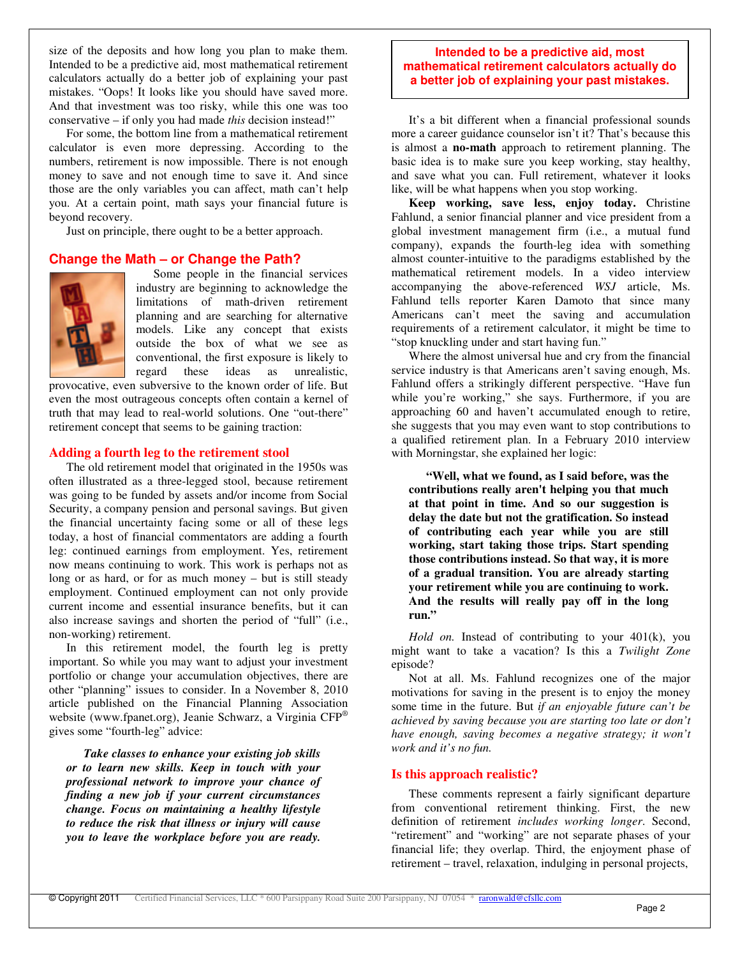size of the deposits and how long you plan to make them. Intended to be a predictive aid, most mathematical retirement calculators actually do a better job of explaining your past mistakes. "Oops! It looks like you should have saved more. And that investment was too risky, while this one was too conservative – if only you had made *this* decision instead!"

For some, the bottom line from a mathematical retirement calculator is even more depressing. According to the numbers, retirement is now impossible. There is not enough money to save and not enough time to save it. And since those are the only variables you can affect, math can't help you. At a certain point, math says your financial future is beyond recovery.

Just on principle, there ought to be a better approach.

### **Change the Math – or Change the Path?**



Some people in the financial services industry are beginning to acknowledge the limitations of math-driven retirement planning and are searching for alternative models. Like any concept that exists outside the box of what we see as conventional, the first exposure is likely to regard these ideas as unrealistic,

provocative, even subversive to the known order of life. But even the most outrageous concepts often contain a kernel of truth that may lead to real-world solutions. One "out-there" retirement concept that seems to be gaining traction:

#### **Adding a fourth leg to the retirement stool**

The old retirement model that originated in the 1950s was often illustrated as a three-legged stool, because retirement was going to be funded by assets and/or income from Social Security, a company pension and personal savings. But given the financial uncertainty facing some or all of these legs today, a host of financial commentators are adding a fourth leg: continued earnings from employment. Yes, retirement now means continuing to work. This work is perhaps not as long or as hard, or for as much money – but is still steady employment. Continued employment can not only provide current income and essential insurance benefits, but it can also increase savings and shorten the period of "full" (i.e., non-working) retirement.

In this retirement model, the fourth leg is pretty important. So while you may want to adjust your investment portfolio or change your accumulation objectives, there are other "planning" issues to consider. In a November 8, 2010 article published on the Financial Planning Association website (www.fpanet.org), Jeanie Schwarz, a Virginia CFP ® gives some "fourth-leg" advice:

*Take classes to enhance your existing job skills or to learn new skills. Keep in touch with your professional network to improve your chance of finding a new job if your current circumstances change. Focus on maintaining a healthy lifestyle to reduce the risk that illness or injury will cause you to leave the workplace before you are ready.*

#### **Intended to be a predictive aid, most mathematical retirement calculators actually do a better job of explaining your past mistakes.**

It's a bit different when a financial professional sounds more a career guidance counselor isn't it? That's because this is almost a **no-math** approach to retirement planning. The basic idea is to make sure you keep working, stay healthy, and save what you can. Full retirement, whatever it looks like, will be what happens when you stop working.

**Keep working, save less, enjoy today.** Christine Fahlund, a senior financial planner and vice president from a global investment management firm (i.e., a mutual fund company), expands the fourth-leg idea with something almost counter-intuitive to the paradigms established by the mathematical retirement models. In a video interview accompanying the above-referenced *WSJ* article, Ms. Fahlund tells reporter Karen Damoto that since many Americans can't meet the saving and accumulation requirements of a retirement calculator, it might be time to "stop knuckling under and start having fun."

Where the almost universal hue and cry from the financial service industry is that Americans aren't saving enough, Ms. Fahlund offers a strikingly different perspective. "Have fun while you're working," she says. Furthermore, if you are approaching 60 and haven't accumulated enough to retire, she suggests that you may even want to stop contributions to a qualified retirement plan. In a February 2010 interview with Morningstar, she explained her logic:

**"Well, what we found, as I said before, was the contributions really aren't helping you that much at that point in time. And so our suggestion is delay the date but not the gratification. So instead of contributing each year while you are still working, start taking those trips. Start spending those contributions instead. So that way, it is more of a gradual transition. You are already starting your retirement while you are continuing to work. And the results will really pay off in the long run."**

*Hold on.* Instead of contributing to your 401(k), you might want to take a vacation? Is this a *Twilight Zone* episode?

Not at all. Ms. Fahlund recognizes one of the major motivations for saving in the present is to enjoy the money some time in the future. But *if an enjoyable future can't be achieved by saving because you are starting too late or don't have enough, saving becomes a negative strategy; it won't work and it's no fun.*

### **Is this approach realistic?**

These comments represent a fairly significant departure from conventional retirement thinking. First, the new definition of retirement *includes working longer*. Second, "retirement" and "working" are not separate phases of your financial life; they overlap. Third, the enjoyment phase of retirement – travel, relaxation, indulging in personal projects,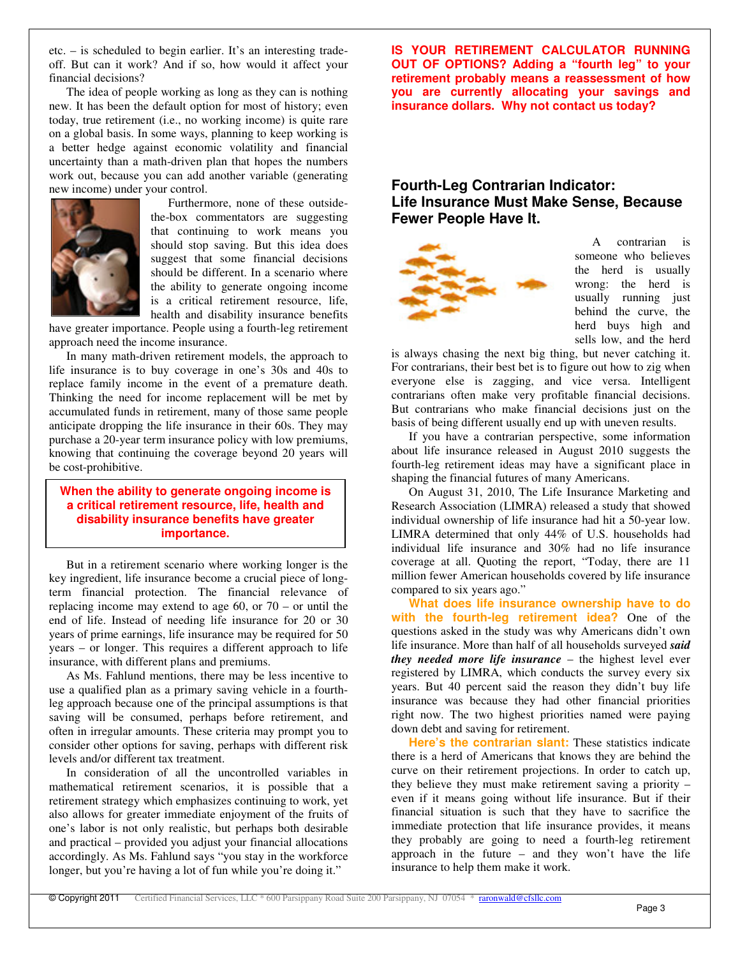etc. – is scheduled to begin earlier. It's an interesting tradeoff. But can it work? And if so, how would it affect your financial decisions?

The idea of people working as long as they can is nothing new. It has been the default option for most of history; even today, true retirement (i.e., no working income) is quite rare on a global basis. In some ways, planning to keep working is a better hedge against economic volatility and financial uncertainty than a math-driven plan that hopes the numbers work out, because you can add another variable (generating new income) under your control.



Furthermore, none of these outsidethe-box commentators are suggesting that continuing to work means you should stop saving. But this idea does suggest that some financial decisions should be different. In a scenario where the ability to generate ongoing income is a critical retirement resource, life, health and disability insurance benefits

have greater importance. People using a fourth-leg retirement approach need the income insurance.

In many math-driven retirement models, the approach to life insurance is to buy coverage in one's 30s and 40s to replace family income in the event of a premature death. Thinking the need for income replacement will be met by accumulated funds in retirement, many of those same people anticipate dropping the life insurance in their 60s. They may purchase a 20-year term insurance policy with low premiums, knowing that continuing the coverage beyond 20 years will be cost-prohibitive.

### **When the ability to generate ongoing income is a critical retirement resource, life, health and disability insurance benefits have greater importance.**

But in a retirement scenario where working longer is the key ingredient, life insurance become a crucial piece of longterm financial protection. The financial relevance of replacing income may extend to age 60, or 70 – or until the end of life. Instead of needing life insurance for 20 or 30 years of prime earnings, life insurance may be required for 50 years – or longer. This requires a different approach to life insurance, with different plans and premiums.

As Ms. Fahlund mentions, there may be less incentive to use a qualified plan as a primary saving vehicle in a fourthleg approach because one of the principal assumptions is that saving will be consumed, perhaps before retirement, and often in irregular amounts. These criteria may prompt you to consider other options for saving, perhaps with different risk levels and/or different tax treatment.

In consideration of all the uncontrolled variables in mathematical retirement scenarios, it is possible that a retirement strategy which emphasizes continuing to work, yet also allows for greater immediate enjoyment of the fruits of one's labor is not only realistic, but perhaps both desirable and practical – provided you adjust your financial allocations accordingly. As Ms. Fahlund says "you stay in the workforce longer, but you're having a lot of fun while you're doing it."

**IS YOUR RETIREMENT CALCULATOR RUNNING OUT OF OPTIONS? Adding a "fourth leg" to your retirement probably means a reassessment of how you are currently allocating your savings and insurance dollars. Why not contact us today?**

## **Fourth-Leg Contrarian Indicator: Life Insurance Must Make Sense, Because Fewer People Have It.**



A contrarian is someone who believes the herd is usually wrong: the herd is usually running just behind the curve, the herd buys high and sells low, and the herd

is always chasing the next big thing, but never catching it. For contrarians, their best bet is to figure out how to zig when everyone else is zagging, and vice versa. Intelligent contrarians often make very profitable financial decisions. But contrarians who make financial decisions just on the basis of being different usually end up with uneven results.

If you have a contrarian perspective, some information about life insurance released in August 2010 suggests the fourth-leg retirement ideas may have a significant place in shaping the financial futures of many Americans.

On August 31, 2010, The Life Insurance Marketing and Research Association (LIMRA) released a study that showed individual ownership of life insurance had hit a 50-year low. LIMRA determined that only 44% of U.S. households had individual life insurance and 30% had no life insurance coverage at all. Quoting the report, "Today, there are 11 million fewer American households covered by life insurance compared to six years ago."

**What does life insurance ownership have to do with the fourth-leg retirement idea?** One of the questions asked in the study was why Americans didn't own life insurance. More than half of all households surveyed *said they needed more life insurance* – the highest level ever registered by LIMRA, which conducts the survey every six years. But 40 percent said the reason they didn't buy life insurance was because they had other financial priorities right now. The two highest priorities named were paying down debt and saving for retirement.

**Here's the contrarian slant:** These statistics indicate there is a herd of Americans that knows they are behind the curve on their retirement projections. In order to catch up, they believe they must make retirement saving a priority – even if it means going without life insurance. But if their financial situation is such that they have to sacrifice the immediate protection that life insurance provides, it means they probably are going to need a fourth-leg retirement approach in the future – and they won't have the life insurance to help them make it work.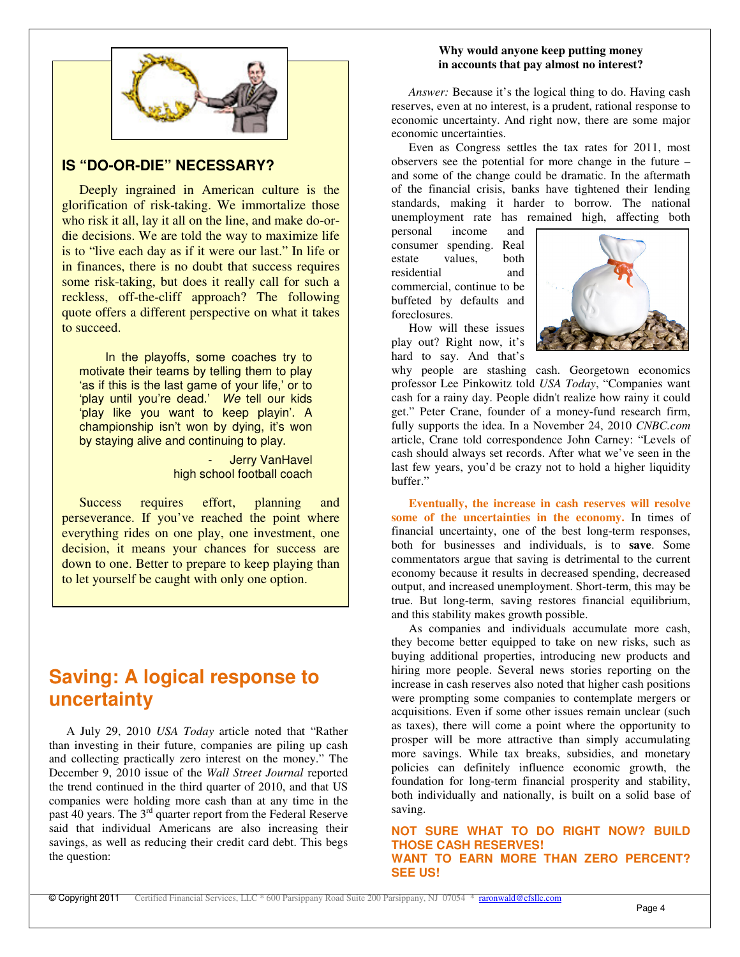

## **IS "DO-OR-DIE" NECESSARY?**

Deeply ingrained in American culture is the glorification of risk-taking. We immortalize those who risk it all, lay it all on the line, and make do-ordie decisions. We are told the way to maximize life is to "live each day as if it were our last." In life or in finances, there is no doubt that success requires some risk-taking, but does it really call for such a reckless, off-the-cliff approach? The following quote offers a different perspective on what it takes to succeed.

In the playoffs, some coaches try to motivate their teams by telling them to play 'as if this is the last game of your life,' or to 'play until you're dead.' *We* tell our kids 'play like you want to keep playin'. A championship isn't won by dying, it's won by staying alive and continuing to play.

> Jerry VanHavel high school football coach

Success requires effort, planning and perseverance. If you've reached the point where everything rides on one play, one investment, one decision, it means your chances for success are down to one. Better to prepare to keep playing than to let yourself be caught with only one option.

## **Saving: A logical response to uncertainty**

A July 29, 2010 *USA Today* article noted that "Rather than investing in their future, companies are piling up cash and collecting practically zero interest on the money." The December 9, 2010 issue of the *Wall Street Journal* reported the trend continued in the third quarter of 2010, and that US companies were holding more cash than at any time in the past 40 years. The 3<sup>rd</sup> quarter report from the Federal Reserve said that individual Americans are also increasing their savings, as well as reducing their credit card debt. This begs the question:

## **Why would anyone keep putting money in accounts that pay almost no interest?**

*Answer:* Because it's the logical thing to do. Having cash reserves, even at no interest, is a prudent, rational response to economic uncertainty. And right now, there are some major economic uncertainties.

Even as Congress settles the tax rates for 2011, most observers see the potential for more change in the future – and some of the change could be dramatic. In the aftermath of the financial crisis, banks have tightened their lending standards, making it harder to borrow. The national unemployment rate has remained high, affecting both

personal income and consumer spending. Real estate values, both residential and commercial, continue to be buffeted by defaults and foreclosures.

How will these issues play out? Right now, it's hard to say. And that's



why people are stashing cash. Georgetown economics professor Lee Pinkowitz told *USA Today*, "Companies want cash for a rainy day. People didn't realize how rainy it could get." Peter Crane, founder of a money-fund research firm, fully supports the idea. In a November 24, 2010 *CNBC.com* article, Crane told correspondence John Carney: "Levels of cash should always set records. After what we've seen in the last few years, you'd be crazy not to hold a higher liquidity buffer."

**Eventually, the increase in cash reserves will resolve some of the uncertainties in the economy.** In times of financial uncertainty, one of the best long-term responses, both for businesses and individuals, is to **save**. Some commentators argue that saving is detrimental to the current economy because it results in decreased spending, decreased output, and increased unemployment. Short-term, this may be true. But long-term, saving restores financial equilibrium, and this stability makes growth possible.

As companies and individuals accumulate more cash, they become better equipped to take on new risks, such as buying additional properties, introducing new products and hiring more people. Several news stories reporting on the increase in cash reserves also noted that higher cash positions were prompting some companies to contemplate mergers or acquisitions. Even if some other issues remain unclear (such as taxes), there will come a point where the opportunity to prosper will be more attractive than simply accumulating more savings. While tax breaks, subsidies, and monetary policies can definitely influence economic growth, the foundation for long-term financial prosperity and stability, both individually and nationally, is built on a solid base of saving.

**NOT SURE WHAT TO DO RIGHT NOW? BUILD THOSE CASH RESERVES! WANT TO EARN MORE THAN ZERO PERCENT? SEE US!**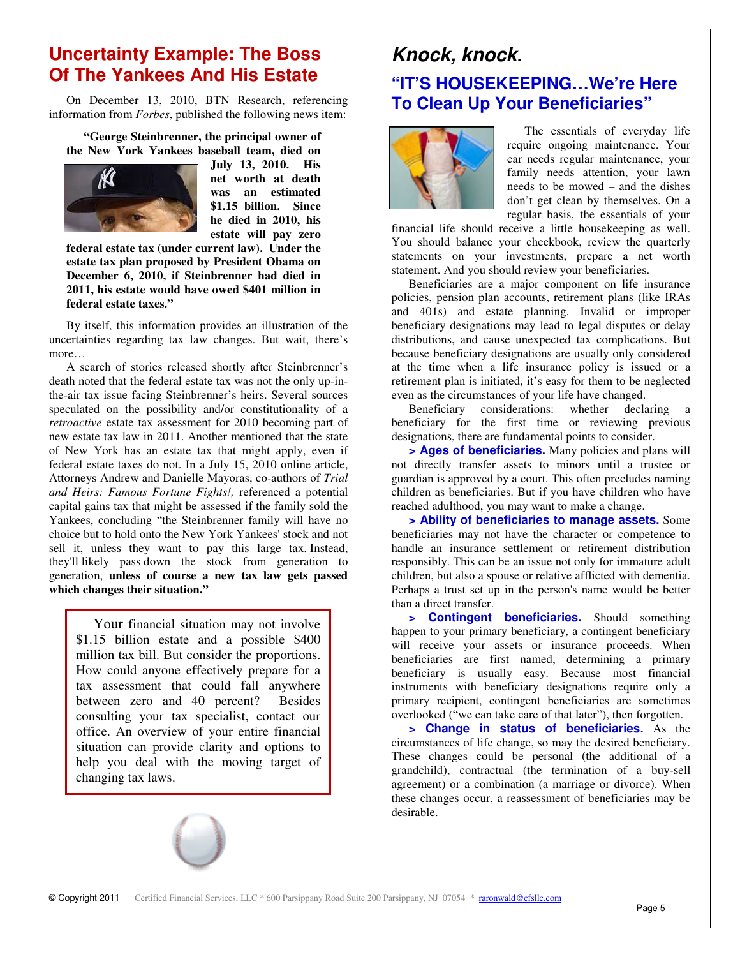## **Uncertainty Example: The Boss Of The Yankees And His Estate**

On December 13, 2010, BTN Research, referencing information from *Forbes*, published the following news item:

**"George Steinbrenner, the principal owner of the New York Yankees baseball team, died on**



**July 13, 2010. His net worth at death was an estimated \$1.15 billion. Since he died in 2010, his estate will pay zero**

**federal estate tax (under current law). Under the estate tax plan proposed by President Obama on December 6, 2010, if Steinbrenner had died in 2011, his estate would have owed \$401 million in federal estate taxes."**

By itself, this information provides an illustration of the uncertainties regarding tax law changes. But wait, there's more…

A search of stories released shortly after Steinbrenner's death noted that the federal estate tax was not the only up-inthe-air tax issue facing Steinbrenner's heirs. Several sources speculated on the possibility and/or constitutionality of a *retroactive* estate tax assessment for 2010 becoming part of new estate tax law in 2011. Another mentioned that the state of New York has an estate tax that might apply, even if federal estate taxes do not. In a July 15, 2010 online article, Attorneys Andrew and Danielle Mayoras, co-authors of *Trial and Heirs: Famous Fortune Fights!,* referenced a potential capital gains tax that might be assessed if the family sold the Yankees, concluding "the Steinbrenner family will have no choice but to hold onto the New York Yankees'stock and not sell it, unless they want to pay this large tax. Instead, they'll likely pass down the stock from generation to generation, **unless of course a new tax law gets passed which changes their situation."**

Your financial situation may not involve \$1.15 billion estate and a possible \$400 million tax bill. But consider the proportions. How could anyone effectively prepare for a tax assessment that could fall anywhere between zero and 40 percent? Besides consulting your tax specialist, contact our office. An overview of your entire financial situation can provide clarity and options to help you deal with the moving target of changing tax laws.



# *Knock, knock.* **"IT'S HOUSEKEEPING…We're Here To Clean Up Your Beneficiaries"**



The essentials of everyday life require ongoing maintenance. Your car needs regular maintenance, your family needs attention, your lawn needs to be mowed – and the dishes don't get clean by themselves. On a regular basis, the essentials of your

financial life should receive a little housekeeping as well. You should balance your checkbook, review the quarterly statements on your investments, prepare a net worth statement. And you should review your beneficiaries.

Beneficiaries are a major component on life insurance policies, pension plan accounts, retirement plans (like IRAs and 401s) and estate planning. Invalid or improper beneficiary designations may lead to legal disputes or delay distributions, and cause unexpected tax complications. But because beneficiary designations are usually only considered at the time when a life insurance policy is issued or a retirement plan is initiated, it's easy for them to be neglected even as the circumstances of your life have changed.

Beneficiary considerations: whether declaring a beneficiary for the first time or reviewing previous designations, there are fundamental points to consider.

**> Ages of beneficiaries.** Many policies and plans will not directly transfer assets to minors until a trustee or guardian is approved by a court. This often precludes naming children as beneficiaries. But if you have children who have reached adulthood, you may want to make a change.

**> Ability of beneficiaries to manage assets.** Some beneficiaries may not have the character or competence to handle an insurance settlement or retirement distribution responsibly. This can be an issue not only for immature adult children, but also a spouse or relative afflicted with dementia. Perhaps a trust set up in the person's name would be better than a direct transfer.

**> Contingent beneficiaries.** Should something happen to your primary beneficiary, a contingent beneficiary will receive your assets or insurance proceeds. When beneficiaries are first named, determining a primary beneficiary is usually easy. Because most financial instruments with beneficiary designations require only a primary recipient, contingent beneficiaries are sometimes overlooked ("we can take care of that later"), then forgotten.

**> Change in status of beneficiaries.** As the circumstances of life change, so may the desired beneficiary. These changes could be personal (the additional of a grandchild), contractual (the termination of a buy-sell agreement) or a combination (a marriage or divorce). When these changes occur, a reassessment of beneficiaries may be desirable.